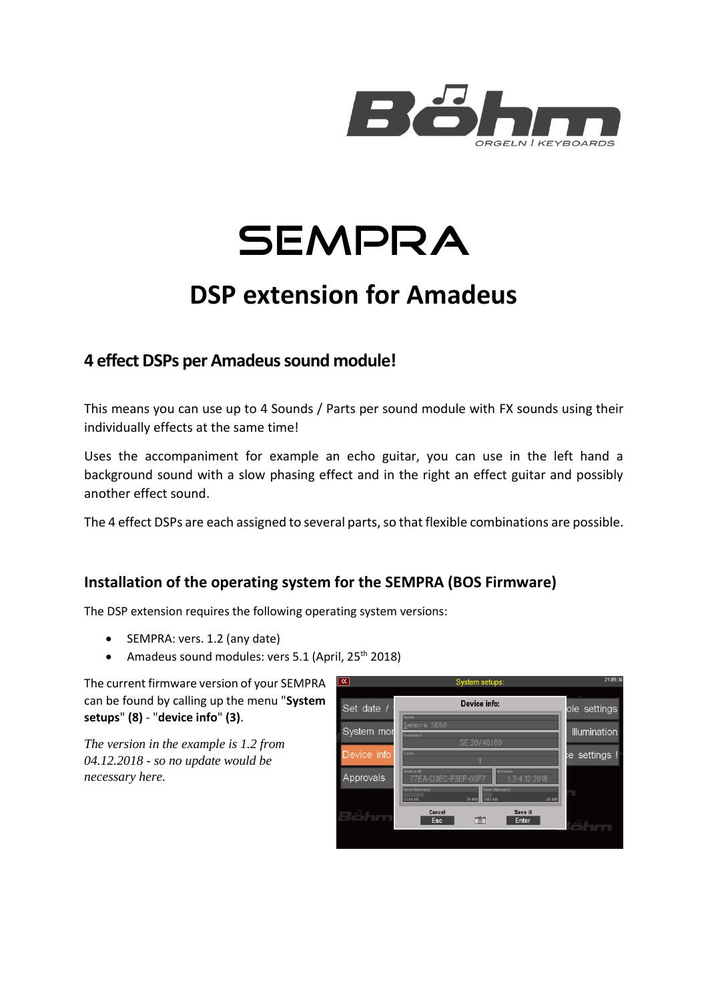



# **DSP extension for Amadeus**

### **4 effect DSPs per Amadeus sound module!**

This means you can use up to 4 Sounds / Parts per sound module with FX sounds using their individually effects at the same time!

Uses the accompaniment for example an echo guitar, you can use in the left hand a background sound with a slow phasing effect and in the right an effect guitar and possibly another effect sound.

The 4 effect DSPs are each assigned to several parts, so that flexible combinations are possible.

### **Installation of the operating system for the SEMPRA (BOS Firmware)**

The DSP extension requires the following operating system versions:

- SEMPRA: vers. 1.2 (any date)
- Amadeus sound modules: vers 5.1 (April, 25<sup>th</sup> 2018)

The current firmware version of your SEMPRA can be found by calling up the menu "**System setups**" **(8)** - "**device info**" **(3)**.

*The version in the example is 1.2 from 04.12.2018 - so no update would be necessary here.*

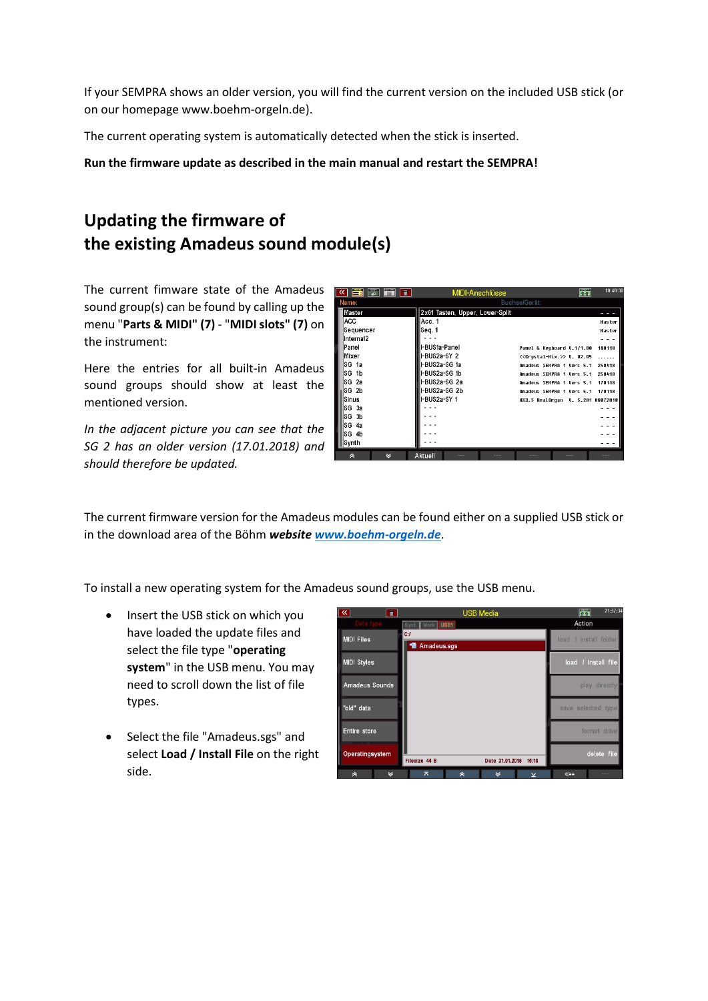If your SEMPRA shows an older version, you will find the current version on the included USB stick (or on our homepage www.boehm-orgeln.de).

The current operating system is automatically detected when the stick is inserted.

**Run the firmware update as described in the main manual and restart the SEMPRA!**

### **Updating the firmware of the existing Amadeus sound module(s)**

The current fimware state of the Amadeus sound group(s) can be found by calling up the menu "**Parts & MIDI" (7)** - "**MIDI slots" (7)** on the instrument:

Here the entries for all built-in Amadeus sound groups should show at least the mentioned version.

*In the adjacent picture you can see that the SG 2 has an older version (17.01.2018) and should therefore be updated.*

| ு<br>亘<br>EV.    | MIDI-Anschlüsse                 | 个个                                           | 10:48:30      |
|------------------|---------------------------------|----------------------------------------------|---------------|
| Name:            |                                 | Buchse/Gerät:                                |               |
| Master           | 2x61 Tasten, Upper, Lower-Split |                                              |               |
| <b>ACC</b>       | Acc. 1                          |                                              | <b>Master</b> |
| Sequencer        | Seq. 1                          |                                              | <b>Haster</b> |
| Internal2        |                                 |                                              |               |
| Panel            | l-BUS1a-Panel                   | Panel & Keyboard U.1/1.00                    | 180118        |
| Mixer            | I-BUS2a-SY 2                    | < <crustal-mix.>&gt; U. 02.05</crustal-mix.> | .             |
| SG 1a            | l-BUS2a-SG 1a                   | Amadeus SEMPRA 1 Uers 5.1                    | 258418        |
| SG 1b            | I-BUS2a-SG 1b                   | Amadeus SEMPRA 1 Vers 5.1                    | 250418        |
| SG <sub>2a</sub> | I-BUS2a-SG 2a                   | Amadeus SEMPRA 1 Uers 5.1                    | 178118        |
| SG <sub>2b</sub> | -BUS2a-SG 2b                    | Amadeus SEMPRA 1 Vers 5.1                    | 170118        |
| Sinus            | I-BUS2a-SY 1                    | HX3.5 RealOrgan U. 5.201 08072018            |               |
| SG 3a            |                                 |                                              |               |
| SG<br>3b         |                                 |                                              |               |
| SG<br>-4a        |                                 |                                              |               |
| SG 4b            |                                 |                                              |               |
| Synth            |                                 |                                              |               |
| M<br>$\hat{ }$   | Aktuell                         |                                              |               |

The current firmware version for the Amadeus modules can be found either on a supplied USB stick or in the download area of the Böhm *websit[e www.boehm-orgeln.de](http://www.boehm-orgeln.de/)*.

To install a new operating system for the Amadeus sound groups, use the USB menu.

- Insert the USB stick on which you have loaded the update files and select the file type "**operating system**" in the USB menu. You may need to scroll down the list of file types.
- Select the file "Amadeus.sgs" and select **Load / Install File** on the right side.

| $\overline{\mathbb{R}}$ | 亘 |                             | <b>USB Media</b>   |                 |        | 帝      | 21:57:34            |
|-------------------------|---|-----------------------------|--------------------|-----------------|--------|--------|---------------------|
|                         |   | Syst. Work USB1             |                    |                 |        | Action |                     |
| <b>MIDI Files</b>       |   | C:/<br><b>■ Amadeus.sgs</b> |                    |                 |        | load   | / install folder    |
| <b>MIDI Styles</b>      |   |                             |                    |                 |        |        | load / install file |
| Amadeus Sounds          |   |                             |                    |                 |        |        | play directly       |
| "old" data              |   |                             |                    |                 |        |        | save selected type  |
| Entire store            |   |                             |                    |                 |        |        | format drive        |
| Operatingsystem         |   | Filesize 44 B               |                    | Date 31.01.2018 | 15:18  |        | delete file         |
| 《                       | է | ᄎ                           | $\hat{\mathbf{z}}$ | ४               | $\geq$ | $\ll=$ | $- - -$             |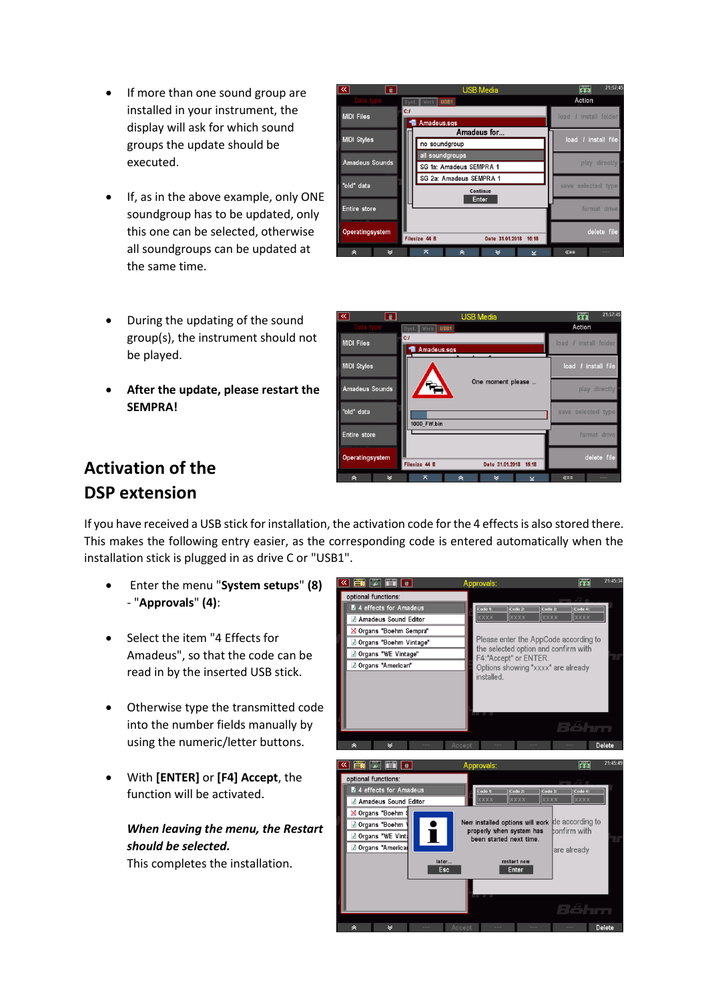- If more than one sound group are installed in your instrument, the display will ask for which sound groups the update should be executed.
- If, as in the above example, only ONE soundgroup has to be updated, only this one can be selected, otherwise all soundgroups can be updated at the

|           | all soundgroups can be updated at<br>the same time.                     | 《 | $\mathbb{R}$ |
|-----------|-------------------------------------------------------------------------|---|--------------|
| $\bullet$ | During the updating of the sound<br>group(s), the instrument should not |   |              |

• **After the update, please restart the SEMPRA!**

| 亘                   | <b>USB Media</b>                          | 21:57:45<br>$\frac{1}{\ln n}$ |
|---------------------|-------------------------------------------|-------------------------------|
| Data type           | Syst. Work   USB1                         | Action                        |
| <b>MIDI Files</b>   | C:I<br><b>■ Amadeus.sqs</b>               | load / install folder         |
| <b>MIDI Styles</b>  | Amadeus for                               | load / install file           |
|                     | no soundgroup                             |                               |
| Amadeus Sounds      | all soundgroups                           |                               |
|                     | SG 1a: Amadeus SEMPRA 1                   | play directly                 |
| "old" data          | SG 2a: Amadeus SEMPRA 1                   |                               |
|                     | Continue                                  | save selected type            |
| <b>Entire</b> store | Enter                                     | format drive                  |
| Operatingsystem     | Filesize 44 B<br>Date 31.01.2018<br>15:18 | delete file                   |
| ⊻<br>《              | ᆽ<br>《<br>∀<br>$\overline{\mathsf{v}}$    | $\ll =$<br>$- - -$            |

| ৰে<br>画            | <b>USB Media</b>                          | 21:57:45<br>m         |
|--------------------|-------------------------------------------|-----------------------|
| Data type          | Syst. Work USB1                           | Action                |
| <b>MIDI Files</b>  | C:I<br><b>"</b> Amadeus.sgs               | load / install folder |
| <b>MIDI Styles</b> |                                           | load / install file   |
| Amadeus Sounds     | One moment please                         | play directly         |
| "old" data         | 1000 FW.bin                               | save selected type    |
| Entire store       |                                           | format drive          |
| Operatingsystem    | Filesize 44 B<br>15:18<br>Date 31.01.2018 | delete file           |
| $\checkmark$<br>à  | ᄎ<br>×<br>《<br>$\overline{\mathbf{y}}$    | $\ll =$<br>$- - -$    |

## **Activation of the DSP extension**

be played.

If you have received a USB stick for installation, the activation code for the 4 effects is also stored there. This makes the following entry easier, as the corresponding code is entered automatically when the installation stick is plugged in as drive C or "USB1".

- Enter the menu "**System setups**" **(8)** - "**Approvals**" **(4)**:
- Select the item "4 Effects for Amadeus", so that the code can be read in by the inserted USB stick.
- Otherwise type the transmitted code into the number fields manually by using the numeric/letter buttons.
- With **[ENTER]** or **[F4] Accept**, the function will be activated.

#### *When leaving the menu, the Restart should be selected.*

This completes the installation.

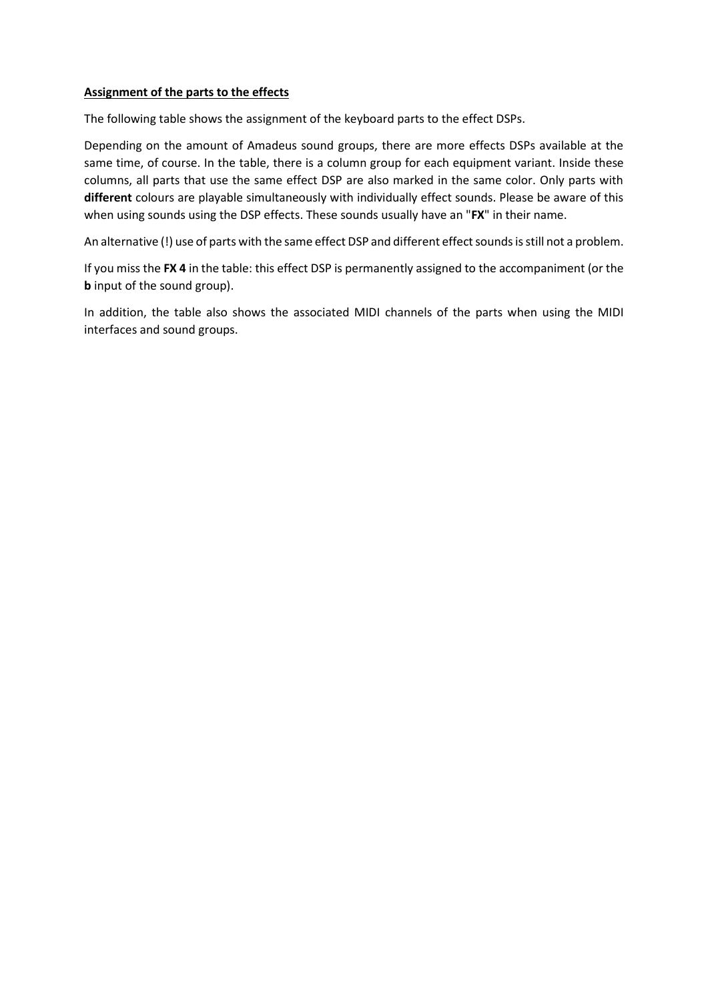#### **Assignment of the parts to the effects**

The following table shows the assignment of the keyboard parts to the effect DSPs.

Depending on the amount of Amadeus sound groups, there are more effects DSPs available at the same time, of course. In the table, there is a column group for each equipment variant. Inside these columns, all parts that use the same effect DSP are also marked in the same color. Only parts with **different** colours are playable simultaneously with individually effect sounds. Please be aware of this when using sounds using the DSP effects. These sounds usually have an "**FX**" in their name.

An alternative (!) use of parts with the same effect DSP and different effect sounds is still not a problem.

If you miss the **FX 4** in the table: this effect DSP is permanently assigned to the accompaniment (or the **b** input of the sound group).

In addition, the table also shows the associated MIDI channels of the parts when using the MIDI interfaces and sound groups.